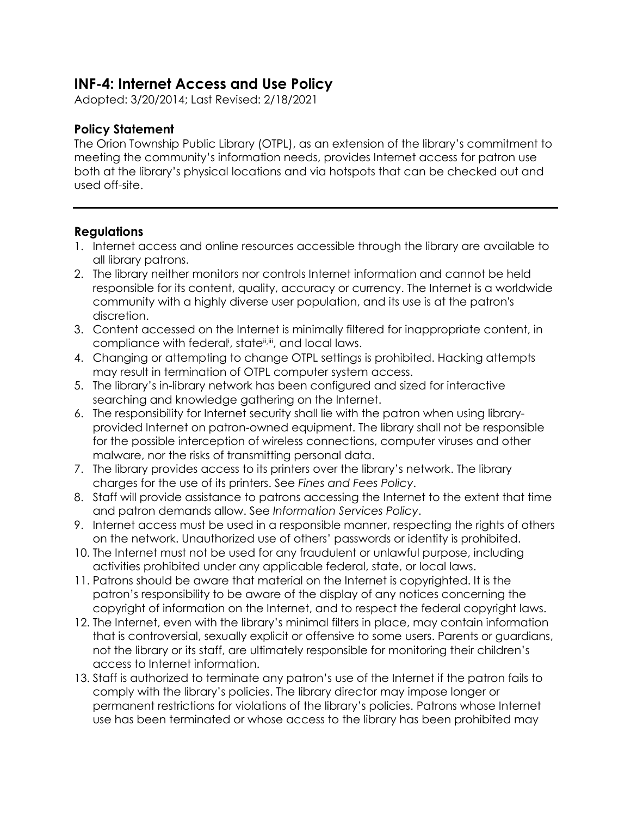## **INF-4: Internet Access and Use Policy**

Adopted: 3/20/2014; Last Revised: 2/18/2021

## **Policy Statement**

The Orion Township Public Library (OTPL), as an extension of the library's commitment to meeting the community's information needs, provides Internet access for patron use both at the library's physical locations and via hotspots that can be checked out and used off-site.

## **Regulations**

- 1. Internet access and online resources accessible through the library are available to all library patrons.
- 2. The library neither monitors nor controls Internet information and cannot be held responsible for its content, quality, accuracy or currency. The Internet is a worldwide community with a highly diverse user population, and its use is at the patron's discretion.
- 3. Content accessed on the Internet is minimally filtered for inappropriate content, in compliance with federal<sup>i</sup>, state<sup>ii,iii</sup>, and local laws.
- 4. Changing or attempting to change OTPL settings is prohibited. Hacking attempts may result in termination of OTPL computer system access.
- 5. The library's in-library network has been configured and sized for interactive searching and knowledge gathering on the Internet.
- 6. The responsibility for Internet security shall lie with the patron when using libraryprovided Internet on patron-owned equipment. The library shall not be responsible for the possible interception of wireless connections, computer viruses and other malware, nor the risks of transmitting personal data.
- 7. The library provides access to its printers over the library's network. The library charges for the use of its printers. See *Fines and Fees Policy*.
- 8. Staff will provide assistance to patrons accessing the Internet to the extent that time and patron demands allow. See *Information Services Policy*.
- 9. Internet access must be used in a responsible manner, respecting the rights of others on the network. Unauthorized use of others' passwords or identity is prohibited.
- 10. The Internet must not be used for any fraudulent or unlawful purpose, including activities prohibited under any applicable federal, state, or local laws.
- 11. Patrons should be aware that material on the Internet is copyrighted. It is the patron's responsibility to be aware of the display of any notices concerning the copyright of information on the Internet, and to respect the federal copyright laws.
- 12. The Internet, even with the library's minimal filters in place, may contain information that is controversial, sexually explicit or offensive to some users. Parents or guardians, not the library or its staff, are ultimately responsible for monitoring their children's access to Internet information.
- 13. Staff is authorized to terminate any patron's use of the Internet if the patron fails to comply with the library's policies. The library director may impose longer or permanent restrictions for violations of the library's policies. Patrons whose Internet use has been terminated or whose access to the library has been prohibited may